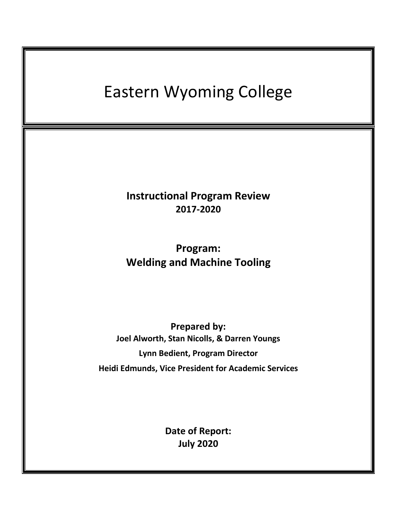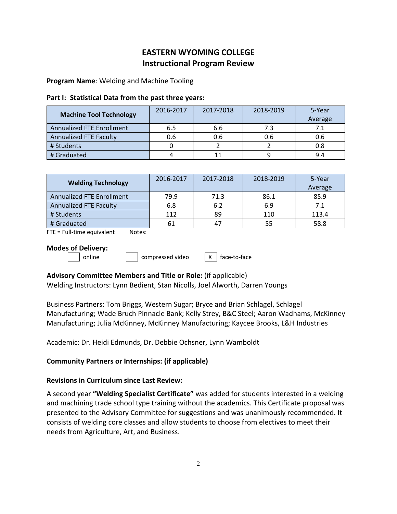# **EASTERN WYOMING COLLEGE Instructional Program Review**

**Program Name**: Welding and Machine Tooling

### **Part I: Statistical Data from the past three years:**

| <b>Machine Tool Technology</b>   | 2016-2017 | 2017-2018 | 2018-2019 | 5-Year<br>Average |
|----------------------------------|-----------|-----------|-----------|-------------------|
| <b>Annualized FTE Enrollment</b> | 6.5       | 6.6       | 7.3       | 7.1               |
| <b>Annualized FTE Faculty</b>    | 0.6       | 0.6       | 0.6       | 0.6               |
| # Students                       |           |           |           | 0.8               |
| # Graduated                      |           |           |           | 9.4               |

| <b>Welding Technology</b>        | 2016-2017 | 2017-2018 | 2018-2019 | 5-Year<br>Average |
|----------------------------------|-----------|-----------|-----------|-------------------|
| <b>Annualized FTE Enrollment</b> | 79.9      | 71.3      | 86.1      | 85.9              |
| <b>Annualized FTE Faculty</b>    | 6.8       | 6.2       | 6.9       | 7.1               |
| # Students                       | 112       | 89        | 110       | 113.4             |
| # Graduated                      |           | 47        | 55        | 58.8              |

FTE = Full-time equivalent Notes:

### **Modes of Delivery:**

| online | | | compressed video | X | face-to-face

## **Advisory Committee Members and Title or Role:** (if applicable)

Welding Instructors: Lynn Bedient, Stan Nicolls, Joel Alworth, Darren Youngs

Business Partners: Tom Briggs, Western Sugar; Bryce and Brian Schlagel, Schlagel Manufacturing; Wade Bruch Pinnacle Bank; Kelly Strey, B&C Steel; Aaron Wadhams, McKinney Manufacturing; Julia McKinney, McKinney Manufacturing; Kaycee Brooks, L&H Industries

Academic: Dr. Heidi Edmunds, Dr. Debbie Ochsner, Lynn Wamboldt

## **Community Partners or Internships: (if applicable)**

## **Revisions in Curriculum since Last Review:**

A second year **"Welding Specialist Certificate"** was added for students interested in a welding and machining trade school type training without the academics. This Certificate proposal was presented to the Advisory Committee for suggestions and was unanimously recommended. It consists of welding core classes and allow students to choose from electives to meet their needs from Agriculture, Art, and Business.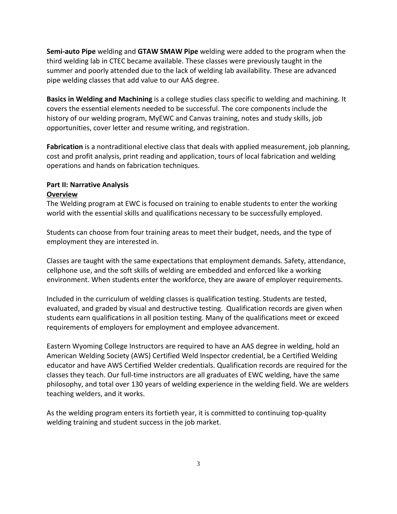**Semi-auto Pipe** welding and **GTAW SMAW Pipe** welding were added to the program when the third welding lab in CTEC became available. These classes were previously taught in the summer and poorly attended due to the lack of welding lab availability. These are advanced pipe welding classes that add value to our AAS degree.

**Basics in Welding and Machining** is a college studies class specific to welding and machining. It covers the essential elements needed to be successful. The core components include the history of our welding program, MyEWC and Canvas training, notes and study skills, job opportunities, cover letter and resume writing, and registration.

**Fabrication** is a nontraditional elective class that deals with applied measurement, job planning, cost and profit analysis, print reading and application, tours of local fabrication and welding operations and hands on fabrication techniques.

### **Part II: Narrative Analysis Overview**

The Welding program at EWC is focused on training to enable students to enter the working world with the essential skills and qualifications necessary to be successfully employed.

Students can choose from four training areas to meet their budget, needs, and the type of employment they are interested in.

Classes are taught with the same expectations that employment demands. Safety, attendance, cellphone use, and the soft skills of welding are embedded and enforced like a working environment. When students enter the workforce, they are aware of employer requirements.

Included in the curriculum of welding classes is qualification testing. Students are tested, evaluated, and graded by visual and destructive testing. Qualification records are given when students earn qualifications in all position testing. Many of the qualifications meet or exceed requirements of employers for employment and employee advancement.

Eastern Wyoming College Instructors are required to have an AAS degree in welding, hold an American Welding Society (AWS) Certified Weld Inspector credential, be a Certified Welding educator and have AWS Certified Welder credentials. Qualification records are required for the classes they teach. Our full-time instructors are all graduates of EWC welding, have the same philosophy, and total over 130 years of welding experience in the welding field. We are welders teaching welders, and it works.

As the welding program enters its fortieth year, it is committed to continuing top-quality welding training and student success in the job market.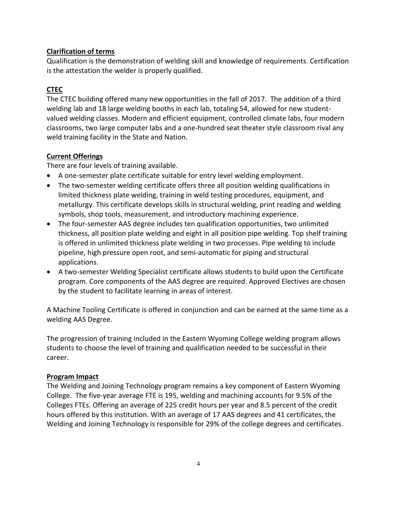## **Clarification of terms**

Qualification is the demonstration of welding skill and knowledge of requirements. Certification is the attestation the welder is properly qualified.

## **CTEC**

The CTEC building offered many new opportunities in the fall of 2017. The addition of a third welding lab and 18 large welding booths in each lab, totaling 54, allowed for new studentvalued welding classes. Modern and efficient equipment, controlled climate labs, four modern classrooms, two large computer labs and a one-hundred seat theater style classroom rival any weld training facility in the State and Nation.

## **Current Offerings**

There are four levels of training available.

- A one-semester plate certificate suitable for entry level welding employment.
- The two-semester welding certificate offers three all position welding qualifications in limited thickness plate welding, training in weld testing procedures, equipment, and metallurgy. This certificate develops skills in structural welding, print reading and welding symbols, shop tools, measurement, and introductory machining experience.
- The four-semester AAS degree includes ten qualification opportunities, two unlimited thickness, all position plate welding and eight in all position pipe welding. Top shelf training is offered in unlimited thickness plate welding in two processes. Pipe welding to include pipeline, high pressure open root, and semi-automatic for piping and structural applications.
- A two-semester Welding Specialist certificate allows students to build upon the Certificate program. Core components of the AAS degree are required. Approved Electives are chosen by the student to facilitate learning in areas of interest.

A Machine Tooling Certificate is offered in conjunction and can be earned at the same time as a welding AAS Degree.

The progression of training included in the Eastern Wyoming College welding program allows students to choose the level of training and qualification needed to be successful in their career.

## **Program Impact**

The Welding and Joining Technology program remains a key component of Eastern Wyoming College. The five-year average FTE is 195, welding and machining accounts for 9.5% of the Colleges FTEs. Offering an average of 225 credit hours per year and 8.5 percent of the credit hours offered by this institution. With an average of 17 AAS degrees and 41 certificates, the Welding and Joining Technology is responsible for 29% of the college degrees and certificates.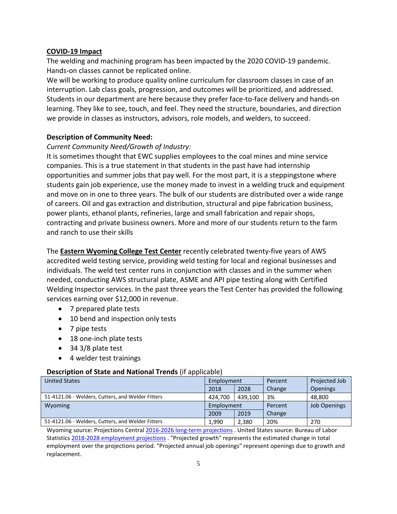### **COVID-19 Impact**

The welding and machining program has been impacted by the 2020 COVID-19 pandemic. Hands-on classes cannot be replicated online.

We will be working to produce quality online curriculum for classroom classes in case of an interruption. Lab class goals, progression, and outcomes will be prioritized, and addressed. Students in our department are here because they prefer face-to-face delivery and hands-on learning. They like to see, touch, and feel. They need the structure, boundaries, and direction we provide in classes as instructors, advisors, role models, and welders, to succeed.

## **Description of Community Need:**

### *Current Community Need/Growth of Industry:*

It is sometimes thought that EWC supplies employees to the coal mines and mine service companies. This is a true statement in that students in the past have had internship opportunities and summer jobs that pay well. For the most part, it is a steppingstone where students gain job experience, use the money made to invest in a welding truck and equipment and move on in one to three years. The bulk of our students are distributed over a wide range of careers. Oil and gas extraction and distribution, structural and pipe fabrication business, power plants, ethanol plants, refineries, large and small fabrication and repair shops, contracting and private business owners. More and more of our students return to the farm and ranch to use their skills

The **Eastern Wyoming College Test Center** recently celebrated twenty-five years of AWS accredited weld testing service, providing weld testing for local and regional businesses and individuals. The weld test center runs in conjunction with classes and in the summer when needed, conducting AWS structural plate, ASME and API pipe testing along with Certified Welding Inspector services. In the past three years the Test Center has provided the following services earning over \$12,000 in revenue.

- 7 prepared plate tests
- 10 bend and inspection only tests
- 7 pipe tests
- 18 one-inch plate tests
- 34 3/8 plate test
- 4 welder test trainings

#### **Description of State and National Trends** (if applicable)

| <b>United States</b>                              | Employment |         | Percent | Projected Job       |
|---------------------------------------------------|------------|---------|---------|---------------------|
|                                                   | 2018       | 2028    | Change  | <b>Openings</b>     |
| 51-4121.06 - Welders, Cutters, and Welder Fitters | 424.700    | 439.100 | 3%      | 48.800              |
| Wyoming                                           | Employment |         | Percent | <b>Job Openings</b> |
|                                                   | 2009       | 2019    | Change  |                     |
| 51-4121.06 - Welders, Cutters, and Welder Fitters | 1.990      | 2,380   | 20%     | 270                 |

Wyoming source: Projections Central [2016-2026 long-term projections](https://projectionscentral.com/Projections/LongTerm) . United States source: Bureau of Labor Statistics [2018-2028 employment projections](https://www.bls.gov/emp/) . "Projected growth" represents the estimated change in total employment over the projections period. "Projected annual job openings" represent openings due to growth and replacement.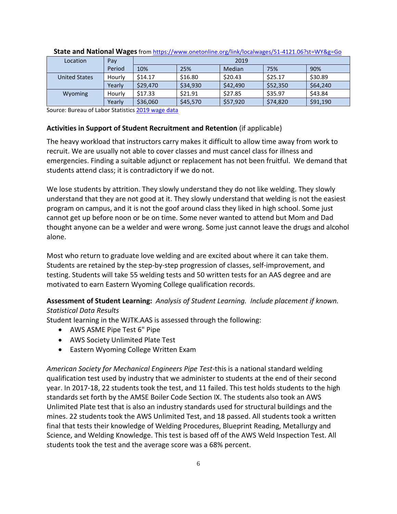| Location      | Pay    | 2019               |          |          |          |          |
|---------------|--------|--------------------|----------|----------|----------|----------|
|               | Period | 10%                | 25%      | Median   | 75%      | 90%      |
| United States | Hourly | S <sub>14.17</sub> | \$16.80  | \$20.43  | \$25.17  | \$30.89  |
|               | Yearly | \$29,470           | \$34,930 | \$42,490 | \$52,350 | \$64,240 |
| Wyoming       | Hourly | \$17.33            | \$21.91  | \$27.85  | \$35.97  | \$43.84  |
|               | Yearly | \$36,060           | \$45,570 | \$57,920 | \$74,820 | \$91,190 |

#### **State and National Wages**from<https://www.onetonline.org/link/localwages/51-4121.06?st=WY&g=Go>

Source: Bureau of Labor Statistic[s 2019 wage data](https://www.bls.gov/oes/)

## **Activities in Support of Student Recruitment and Retention** (if applicable)

The heavy workload that instructors carry makes it difficult to allow time away from work to recruit. We are usually not able to cover classes and must cancel class for illness and emergencies. Finding a suitable adjunct or replacement has not been fruitful. We demand that students attend class; it is contradictory if we do not.

We lose students by attrition. They slowly understand they do not like welding. They slowly understand that they are not good at it. They slowly understand that welding is not the easiest program on campus, and it is not the goof around class they liked in high school. Some just cannot get up before noon or be on time. Some never wanted to attend but Mom and Dad thought anyone can be a welder and were wrong. Some just cannot leave the drugs and alcohol alone.

Most who return to graduate love welding and are excited about where it can take them. Students are retained by the step-by-step progression of classes, self-improvement, and testing. Students will take 55 welding tests and 50 written tests for an AAS degree and are motivated to earn Eastern Wyoming College qualification records.

## **Assessment of Student Learning:** *Analysis of Student Learning. Include placement if known. Statistical Data Results*

Student learning in the WJTK.AAS is assessed through the following:

- AWS ASME Pipe Test 6" Pipe
- AWS Society Unlimited Plate Test
- Eastern Wyoming College Written Exam

*American Society for Mechanical Engineers Pipe Test*-this is a national standard welding qualification test used by industry that we administer to students at the end of their second year. In 2017-18, 22 students took the test, and 11 failed. This test holds students to the high standards set forth by the AMSE Boiler Code Section IX. The students also took an AWS Unlimited Plate test that is also an industry standards used for structural buildings and the mines. 22 students took the AWS Unlimited Test, and 18 passed. All students took a written final that tests their knowledge of Welding Procedures, Blueprint Reading, Metallurgy and Science, and Welding Knowledge. This test is based off of the AWS Weld Inspection Test. All students took the test and the average score was a 68% percent.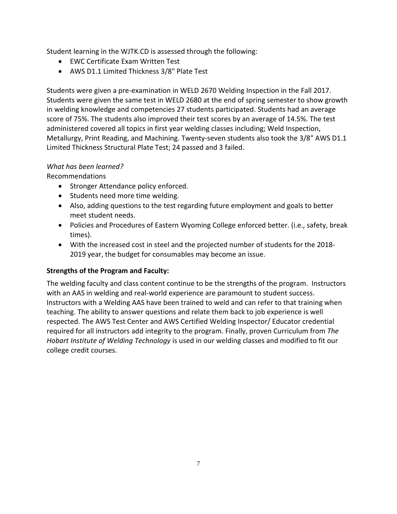Student learning in the WJTK.CD is assessed through the following:

- EWC Certificate Exam Written Test
- AWS D1.1 Limited Thickness 3/8" Plate Test

Students were given a pre-examination in WELD 2670 Welding Inspection in the Fall 2017. Students were given the same test in WELD 2680 at the end of spring semester to show growth in welding knowledge and competencies 27 students participated. Students had an average score of 75%. The students also improved their test scores by an average of 14.5%. The test administered covered all topics in first year welding classes including; Weld Inspection, Metallurgy, Print Reading, and Machining. Twenty-seven students also took the 3/8" AWS D1.1 Limited Thickness Structural Plate Test; 24 passed and 3 failed.

## *What has been learned?*

Recommendations

- Stronger Attendance policy enforced.
- Students need more time welding.
- Also, adding questions to the test regarding future employment and goals to better meet student needs.
- Policies and Procedures of Eastern Wyoming College enforced better. (i.e., safety, break times).
- With the increased cost in steel and the projected number of students for the 2018- 2019 year, the budget for consumables may become an issue.

## **Strengths of the Program and Faculty:**

The welding faculty and class content continue to be the strengths of the program. Instructors with an AAS in welding and real-world experience are paramount to student success. Instructors with a Welding AAS have been trained to weld and can refer to that training when teaching. The ability to answer questions and relate them back to job experience is well respected. The AWS Test Center and AWS Certified Welding Inspector/ Educator credential required for all instructors add integrity to the program. Finally, proven Curriculum from *The Hobart Institute of Welding Technology* is used in our welding classes and modified to fit our college credit courses.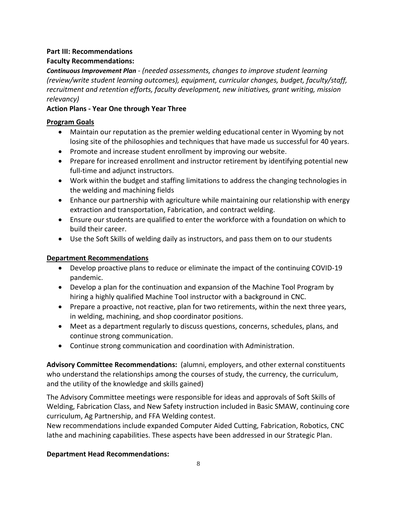## **Part III: Recommendations**

## **Faculty Recommendations:**

*Continuous Improvement Plan - (needed assessments, changes to improve student learning (review/write student learning outcomes), equipment, curricular changes, budget, faculty/staff, recruitment and retention efforts, faculty development, new initiatives, grant writing, mission relevancy)*

## **Action Plans - Year One through Year Three**

## **Program Goals**

- Maintain our reputation as the premier welding educational center in Wyoming by not losing site of the philosophies and techniques that have made us successful for 40 years.
- Promote and increase student enrollment by improving our website.
- Prepare for increased enrollment and instructor retirement by identifying potential new full-time and adjunct instructors.
- Work within the budget and staffing limitations to address the changing technologies in the welding and machining fields
- Enhance our partnership with agriculture while maintaining our relationship with energy extraction and transportation, Fabrication, and contract welding.
- Ensure our students are qualified to enter the workforce with a foundation on which to build their career.
- Use the Soft Skills of welding daily as instructors, and pass them on to our students

## **Department Recommendations**

- Develop proactive plans to reduce or eliminate the impact of the continuing COVID-19 pandemic.
- Develop a plan for the continuation and expansion of the Machine Tool Program by hiring a highly qualified Machine Tool instructor with a background in CNC.
- Prepare a proactive, not reactive, plan for two retirements, within the next three years, in welding, machining, and shop coordinator positions.
- Meet as a department regularly to discuss questions, concerns, schedules, plans, and continue strong communication.
- Continue strong communication and coordination with Administration.

**Advisory Committee Recommendations:** (alumni, employers, and other external constituents who understand the relationships among the courses of study, the currency, the curriculum, and the utility of the knowledge and skills gained)

The Advisory Committee meetings were responsible for ideas and approvals of Soft Skills of Welding, Fabrication Class, and New Safety instruction included in Basic SMAW, continuing core curriculum, Ag Partnership, and FFA Welding contest.

New recommendations include expanded Computer Aided Cutting, Fabrication, Robotics, CNC lathe and machining capabilities. These aspects have been addressed in our Strategic Plan.

## **Department Head Recommendations:**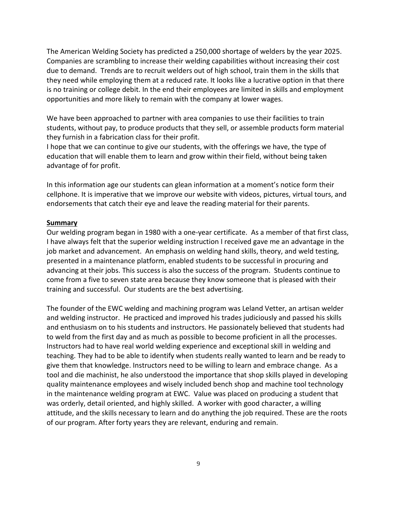The American Welding Society has predicted a 250,000 shortage of welders by the year 2025. Companies are scrambling to increase their welding capabilities without increasing their cost due to demand. Trends are to recruit welders out of high school, train them in the skills that they need while employing them at a reduced rate. It looks like a lucrative option in that there is no training or college debit. In the end their employees are limited in skills and employment opportunities and more likely to remain with the company at lower wages.

We have been approached to partner with area companies to use their facilities to train students, without pay, to produce products that they sell, or assemble products form material they furnish in a fabrication class for their profit.

I hope that we can continue to give our students, with the offerings we have, the type of education that will enable them to learn and grow within their field, without being taken advantage of for profit.

In this information age our students can glean information at a moment's notice form their cellphone. It is imperative that we improve our website with videos, pictures, virtual tours, and endorsements that catch their eye and leave the reading material for their parents.

#### **Summary**

Our welding program began in 1980 with a one-year certificate. As a member of that first class, I have always felt that the superior welding instruction I received gave me an advantage in the job market and advancement. An emphasis on welding hand skills, theory, and weld testing, presented in a maintenance platform, enabled students to be successful in procuring and advancing at their jobs. This success is also the success of the program. Students continue to come from a five to seven state area because they know someone that is pleased with their training and successful. Our students are the best advertising.

The founder of the EWC welding and machining program was Leland Vetter, an artisan welder and welding instructor. He practiced and improved his trades judiciously and passed his skills and enthusiasm on to his students and instructors. He passionately believed that students had to weld from the first day and as much as possible to become proficient in all the processes. Instructors had to have real world welding experience and exceptional skill in welding and teaching. They had to be able to identify when students really wanted to learn and be ready to give them that knowledge. Instructors need to be willing to learn and embrace change. As a tool and die machinist, he also understood the importance that shop skills played in developing quality maintenance employees and wisely included bench shop and machine tool technology in the maintenance welding program at EWC. Value was placed on producing a student that was orderly, detail oriented, and highly skilled. A worker with good character, a willing attitude, and the skills necessary to learn and do anything the job required. These are the roots of our program. After forty years they are relevant, enduring and remain.